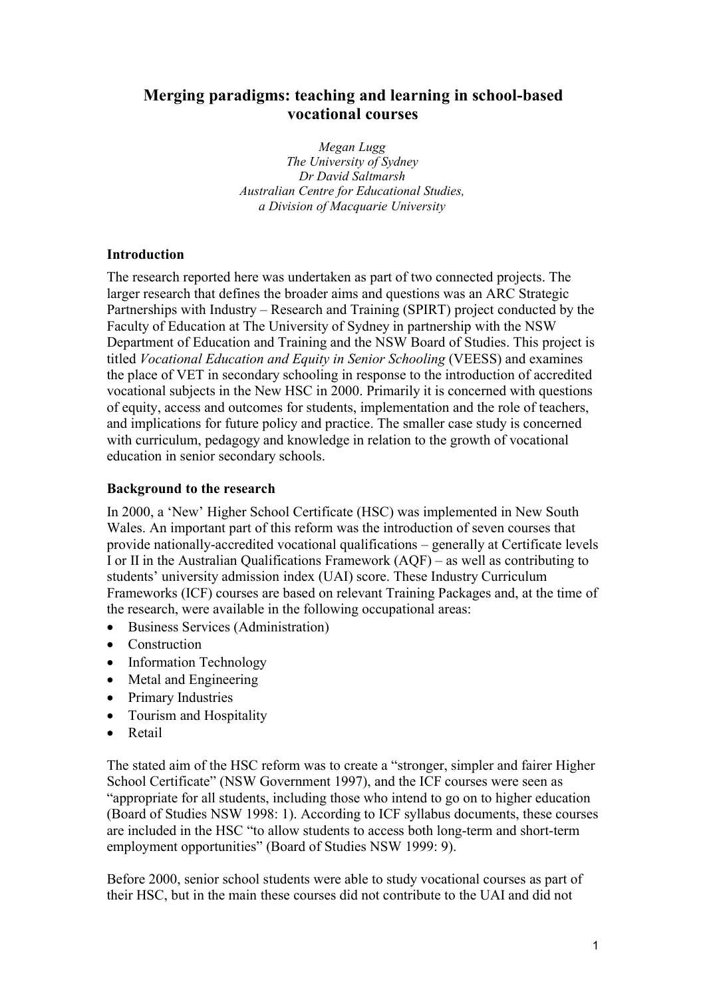# **Merging paradigms: teaching and learning in school-based vocational courses**

*Megan Lugg The University of Sydney Dr David Saltmarsh Australian Centre for Educational Studies, a Division of Macquarie University*

## **Introduction**

The research reported here was undertaken as part of two connected projects. The larger research that defines the broader aims and questions was an ARC Strategic Partnerships with Industry – Research and Training (SPIRT) project conducted by the Faculty of Education at The University of Sydney in partnership with the NSW Department of Education and Training and the NSW Board of Studies. This project is titled *Vocational Education and Equity in Senior Schooling* (VEESS) and examines the place of VET in secondary schooling in response to the introduction of accredited vocational subjects in the New HSC in 2000. Primarily it is concerned with questions of equity, access and outcomes for students, implementation and the role of teachers, and implications for future policy and practice. The smaller case study is concerned with curriculum, pedagogy and knowledge in relation to the growth of vocational education in senior secondary schools.

#### **Background to the research**

In 2000, a 'New' Higher School Certificate (HSC) was implemented in New South Wales. An important part of this reform was the introduction of seven courses that provide nationally-accredited vocational qualifications – generally at Certificate levels I or II in the Australian Qualifications Framework (AQF) – as well as contributing to students' university admission index (UAI) score. These Industry Curriculum Frameworks (ICF) courses are based on relevant Training Packages and, at the time of the research, were available in the following occupational areas:

- Business Services (Administration)
- Construction
- Information Technology
- Metal and Engineering
- Primary Industries
- Tourism and Hospitality
- Retail

The stated aim of the HSC reform was to create a "stronger, simpler and fairer Higher School Certificate" (NSW Government 1997), and the ICF courses were seen as "appropriate for all students, including those who intend to go on to higher education (Board of Studies NSW 1998: 1). According to ICF syllabus documents, these courses are included in the HSC "to allow students to access both long-term and short-term employment opportunities" (Board of Studies NSW 1999: 9).

Before 2000, senior school students were able to study vocational courses as part of their HSC, but in the main these courses did not contribute to the UAI and did not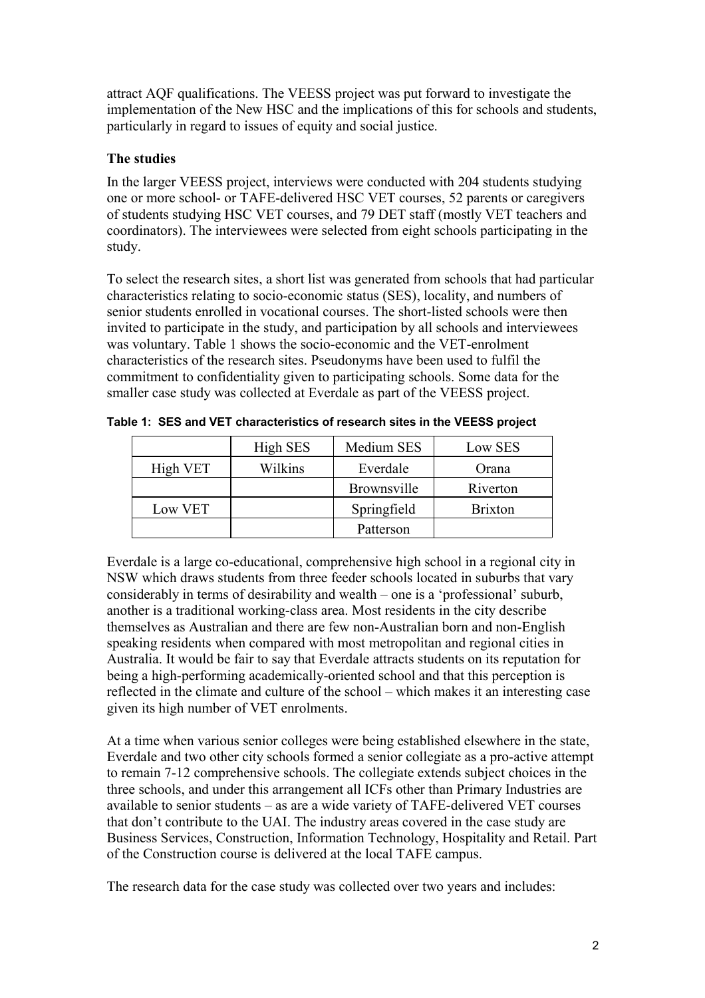attract AQF qualifications. The VEESS project was put forward to investigate the implementation of the New HSC and the implications of this for schools and students, particularly in regard to issues of equity and social justice.

# **The studies**

In the larger VEESS project, interviews were conducted with 204 students studying one or more school- or TAFE-delivered HSC VET courses, 52 parents or caregivers of students studying HSC VET courses, and 79 DET staff (mostly VET teachers and coordinators). The interviewees were selected from eight schools participating in the study.

To select the research sites, a short list was generated from schools that had particular characteristics relating to socio-economic status (SES), locality, and numbers of senior students enrolled in vocational courses. The short-listed schools were then invited to participate in the study, and participation by all schools and interviewees was voluntary. Table 1 shows the socio-economic and the VET-enrolment characteristics of the research sites. Pseudonyms have been used to fulfil the commitment to confidentiality given to participating schools. Some data for the smaller case study was collected at Everdale as part of the VEESS project.

|          | High SES | Medium SES  | Low SES        |
|----------|----------|-------------|----------------|
| High VET | Wilkins  | Everdale    | Orana          |
|          |          | Brownsville | Riverton       |
| Low VET  |          | Springfield | <b>Brixton</b> |
|          |          | Patterson   |                |

**Table 1: SES and VET characteristics of research sites in the VEESS project**

Everdale is a large co-educational, comprehensive high school in a regional city in NSW which draws students from three feeder schools located in suburbs that vary considerably in terms of desirability and wealth – one is a 'professional' suburb, another is a traditional working-class area. Most residents in the city describe themselves as Australian and there are few non-Australian born and non-English speaking residents when compared with most metropolitan and regional cities in Australia. It would be fair to say that Everdale attracts students on its reputation for being a high-performing academically-oriented school and that this perception is reflected in the climate and culture of the school – which makes it an interesting case given its high number of VET enrolments.

At a time when various senior colleges were being established elsewhere in the state, Everdale and two other city schools formed a senior collegiate as a pro-active attempt to remain 7-12 comprehensive schools. The collegiate extends subject choices in the three schools, and under this arrangement all ICFs other than Primary Industries are available to senior students – as are a wide variety of TAFE-delivered VET courses that don't contribute to the UAI. The industry areas covered in the case study are Business Services, Construction, Information Technology, Hospitality and Retail. Part of the Construction course is delivered at the local TAFE campus.

The research data for the case study was collected over two years and includes: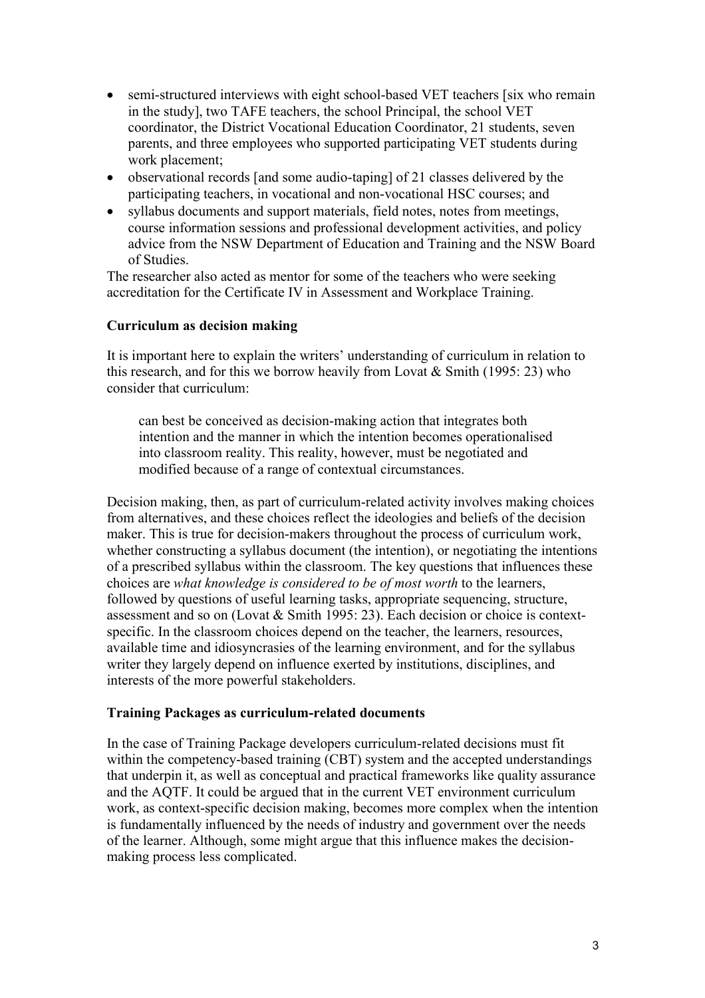- semi-structured interviews with eight school-based VET teachers [six who remain in the study], two TAFE teachers, the school Principal, the school VET coordinator, the District Vocational Education Coordinator, 21 students, seven parents, and three employees who supported participating VET students during work placement;
- observational records [and some audio-taping] of 21 classes delivered by the participating teachers, in vocational and non-vocational HSC courses; and
- syllabus documents and support materials, field notes, notes from meetings, course information sessions and professional development activities, and policy advice from the NSW Department of Education and Training and the NSW Board of Studies.

The researcher also acted as mentor for some of the teachers who were seeking accreditation for the Certificate IV in Assessment and Workplace Training.

### **Curriculum as decision making**

It is important here to explain the writers' understanding of curriculum in relation to this research, and for this we borrow heavily from Lovat  $& Smith (1995: 23)$  who consider that curriculum:

can best be conceived as decision-making action that integrates both intention and the manner in which the intention becomes operationalised into classroom reality. This reality, however, must be negotiated and modified because of a range of contextual circumstances.

Decision making, then, as part of curriculum-related activity involves making choices from alternatives, and these choices reflect the ideologies and beliefs of the decision maker. This is true for decision-makers throughout the process of curriculum work, whether constructing a syllabus document (the intention), or negotiating the intentions of a prescribed syllabus within the classroom. The key questions that influences these choices are *what knowledge is considered to be of most worth* to the learners, followed by questions of useful learning tasks, appropriate sequencing, structure, assessment and so on (Lovat & Smith 1995: 23). Each decision or choice is contextspecific. In the classroom choices depend on the teacher, the learners, resources, available time and idiosyncrasies of the learning environment, and for the syllabus writer they largely depend on influence exerted by institutions, disciplines, and interests of the more powerful stakeholders.

#### **Training Packages as curriculum-related documents**

In the case of Training Package developers curriculum-related decisions must fit within the competency-based training (CBT) system and the accepted understandings that underpin it, as well as conceptual and practical frameworks like quality assurance and the AQTF. It could be argued that in the current VET environment curriculum work, as context-specific decision making, becomes more complex when the intention is fundamentally influenced by the needs of industry and government over the needs of the learner. Although, some might argue that this influence makes the decisionmaking process less complicated.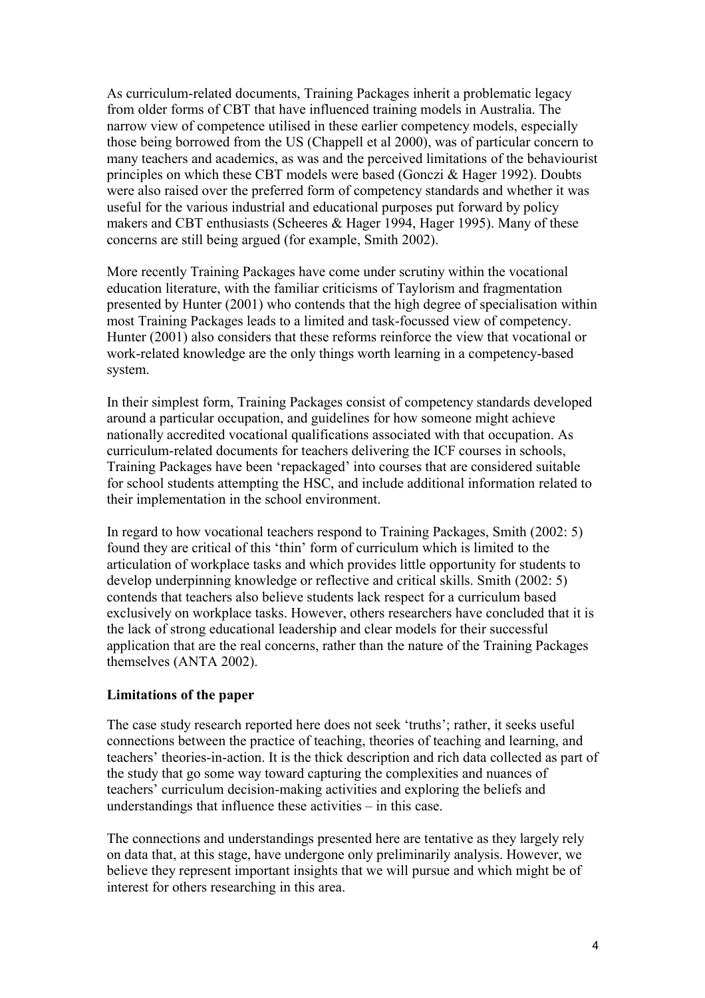As curriculum-related documents, Training Packages inherit a problematic legacy from older forms of CBT that have influenced training models in Australia. The narrow view of competence utilised in these earlier competency models, especially those being borrowed from the US (Chappell et al 2000), was of particular concern to many teachers and academics, as was and the perceived limitations of the behaviourist principles on which these CBT models were based (Gonczi & Hager 1992). Doubts were also raised over the preferred form of competency standards and whether it was useful for the various industrial and educational purposes put forward by policy makers and CBT enthusiasts (Scheeres & Hager 1994, Hager 1995). Many of these concerns are still being argued (for example, Smith 2002).

More recently Training Packages have come under scrutiny within the vocational education literature, with the familiar criticisms of Taylorism and fragmentation presented by Hunter (2001) who contends that the high degree of specialisation within most Training Packages leads to a limited and task-focussed view of competency. Hunter (2001) also considers that these reforms reinforce the view that vocational or work-related knowledge are the only things worth learning in a competency-based system.

In their simplest form, Training Packages consist of competency standards developed around a particular occupation, and guidelines for how someone might achieve nationally accredited vocational qualifications associated with that occupation. As curriculum-related documents for teachers delivering the ICF courses in schools, Training Packages have been 'repackaged' into courses that are considered suitable for school students attempting the HSC, and include additional information related to their implementation in the school environment.

In regard to how vocational teachers respond to Training Packages, Smith (2002: 5) found they are critical of this 'thin' form of curriculum which is limited to the articulation of workplace tasks and which provides little opportunity for students to develop underpinning knowledge or reflective and critical skills. Smith (2002: 5) contends that teachers also believe students lack respect for a curriculum based exclusively on workplace tasks. However, others researchers have concluded that it is the lack of strong educational leadership and clear models for their successful application that are the real concerns, rather than the nature of the Training Packages themselves (ANTA 2002).

#### **Limitations of the paper**

The case study research reported here does not seek 'truths'; rather, it seeks useful connections between the practice of teaching, theories of teaching and learning, and teachers' theories-in-action. It is the thick description and rich data collected as part of the study that go some way toward capturing the complexities and nuances of teachers' curriculum decision-making activities and exploring the beliefs and understandings that influence these activities – in this case.

The connections and understandings presented here are tentative as they largely rely on data that, at this stage, have undergone only preliminarily analysis. However, we believe they represent important insights that we will pursue and which might be of interest for others researching in this area.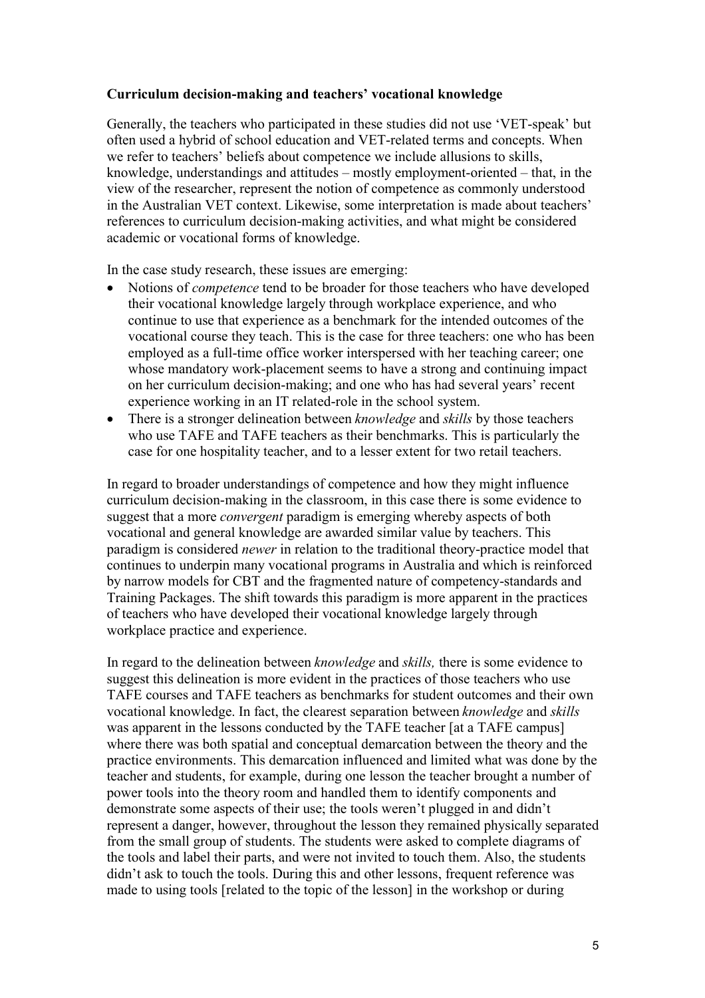### **Curriculum decision-making and teachers' vocational knowledge**

Generally, the teachers who participated in these studies did not use 'VET-speak' but often used a hybrid of school education and VET-related terms and concepts. When we refer to teachers' beliefs about competence we include allusions to skills, knowledge, understandings and attitudes – mostly employment-oriented – that, in the view of the researcher, represent the notion of competence as commonly understood in the Australian VET context. Likewise, some interpretation is made about teachers' references to curriculum decision-making activities, and what might be considered academic or vocational forms of knowledge.

In the case study research, these issues are emerging:

- Notions of *competence* tend to be broader for those teachers who have developed their vocational knowledge largely through workplace experience, and who continue to use that experience as a benchmark for the intended outcomes of the vocational course they teach. This is the case for three teachers: one who has been employed as a full-time office worker interspersed with her teaching career; one whose mandatory work-placement seems to have a strong and continuing impact on her curriculum decision-making; and one who has had several years' recent experience working in an IT related-role in the school system.
- There is a stronger delineation between *knowledge* and *skills* by those teachers who use TAFE and TAFE teachers as their benchmarks. This is particularly the case for one hospitality teacher, and to a lesser extent for two retail teachers.

In regard to broader understandings of competence and how they might influence curriculum decision-making in the classroom, in this case there is some evidence to suggest that a more *convergent* paradigm is emerging whereby aspects of both vocational and general knowledge are awarded similar value by teachers. This paradigm is considered *newer* in relation to the traditional theory-practice model that continues to underpin many vocational programs in Australia and which is reinforced by narrow models for CBT and the fragmented nature of competency-standards and Training Packages. The shift towards this paradigm is more apparent in the practices of teachers who have developed their vocational knowledge largely through workplace practice and experience.

In regard to the delineation between *knowledge* and *skills,* there is some evidence to suggest this delineation is more evident in the practices of those teachers who use TAFE courses and TAFE teachers as benchmarks for student outcomes and their own vocational knowledge. In fact, the clearest separation between *knowledge* and *skills* was apparent in the lessons conducted by the TAFE teacher [at a TAFE campus] where there was both spatial and conceptual demarcation between the theory and the practice environments. This demarcation influenced and limited what was done by the teacher and students, for example, during one lesson the teacher brought a number of power tools into the theory room and handled them to identify components and demonstrate some aspects of their use; the tools weren't plugged in and didn't represent a danger, however, throughout the lesson they remained physically separated from the small group of students. The students were asked to complete diagrams of the tools and label their parts, and were not invited to touch them. Also, the students didn't ask to touch the tools. During this and other lessons, frequent reference was made to using tools [related to the topic of the lesson] in the workshop or during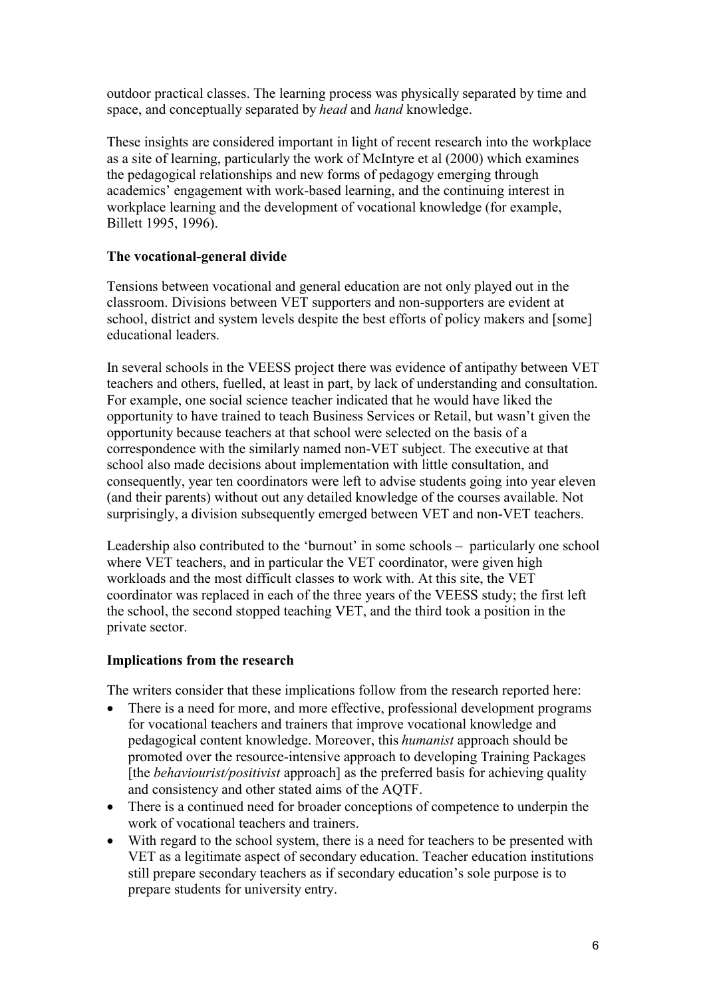outdoor practical classes. The learning process was physically separated by time and space, and conceptually separated by *head* and *hand* knowledge.

These insights are considered important in light of recent research into the workplace as a site of learning, particularly the work of McIntyre et al (2000) which examines the pedagogical relationships and new forms of pedagogy emerging through academics' engagement with work-based learning, and the continuing interest in workplace learning and the development of vocational knowledge (for example, Billett 1995, 1996).

## **The vocational-general divide**

Tensions between vocational and general education are not only played out in the classroom. Divisions between VET supporters and non-supporters are evident at school, district and system levels despite the best efforts of policy makers and [some] educational leaders.

In several schools in the VEESS project there was evidence of antipathy between VET teachers and others, fuelled, at least in part, by lack of understanding and consultation. For example, one social science teacher indicated that he would have liked the opportunity to have trained to teach Business Services or Retail, but wasn't given the opportunity because teachers at that school were selected on the basis of a correspondence with the similarly named non-VET subject. The executive at that school also made decisions about implementation with little consultation, and consequently, year ten coordinators were left to advise students going into year eleven (and their parents) without out any detailed knowledge of the courses available. Not surprisingly, a division subsequently emerged between VET and non-VET teachers.

Leadership also contributed to the 'burnout' in some schools – particularly one school where VET teachers, and in particular the VET coordinator, were given high workloads and the most difficult classes to work with. At this site, the VET coordinator was replaced in each of the three years of the VEESS study; the first left the school, the second stopped teaching VET, and the third took a position in the private sector.

## **Implications from the research**

The writers consider that these implications follow from the research reported here:

- There is a need for more, and more effective, professional development programs for vocational teachers and trainers that improve vocational knowledge and pedagogical content knowledge. Moreover, this *humanist* approach should be promoted over the resource-intensive approach to developing Training Packages [the *behaviourist/positivist* approach] as the preferred basis for achieving quality and consistency and other stated aims of the AQTF.
- There is a continued need for broader conceptions of competence to underpin the work of vocational teachers and trainers.
- With regard to the school system, there is a need for teachers to be presented with VET as a legitimate aspect of secondary education. Teacher education institutions still prepare secondary teachers as if secondary education's sole purpose is to prepare students for university entry.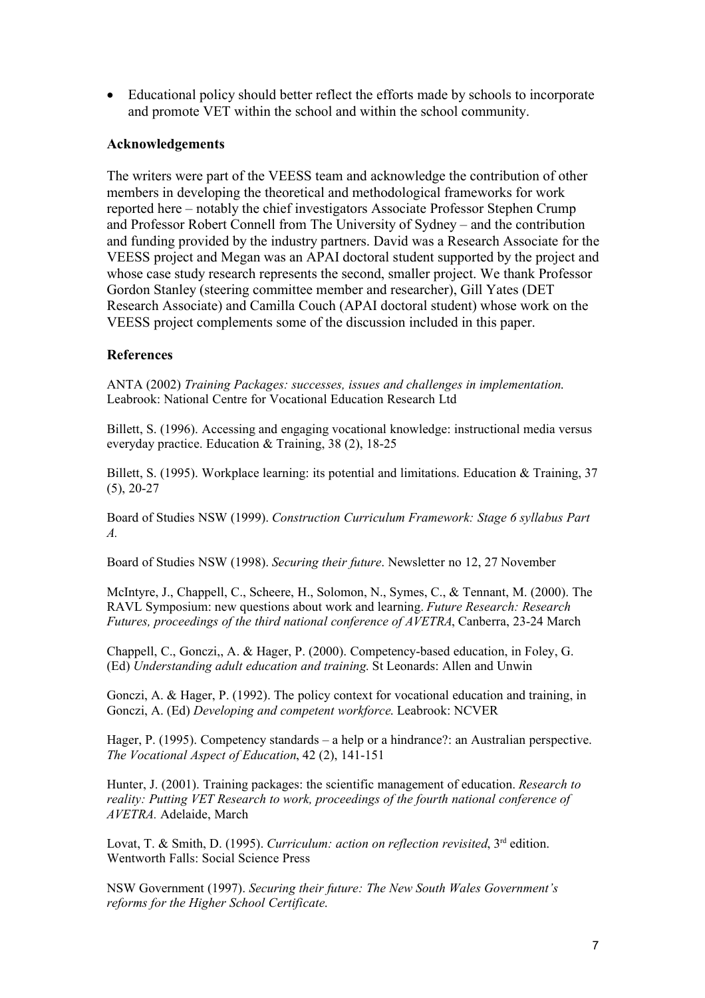Educational policy should better reflect the efforts made by schools to incorporate and promote VET within the school and within the school community.

#### **Acknowledgements**

The writers were part of the VEESS team and acknowledge the contribution of other members in developing the theoretical and methodological frameworks for work reported here – notably the chief investigators Associate Professor Stephen Crump and Professor Robert Connell from The University of Sydney – and the contribution and funding provided by the industry partners. David was a Research Associate for the VEESS project and Megan was an APAI doctoral student supported by the project and whose case study research represents the second, smaller project. We thank Professor Gordon Stanley (steering committee member and researcher), Gill Yates (DET Research Associate) and Camilla Couch (APAI doctoral student) whose work on the VEESS project complements some of the discussion included in this paper.

#### **References**

ANTA (2002) *Training Packages: successes, issues and challenges in implementation*. Leabrook: National Centre for Vocational Education Research Ltd

Billett, S. (1996). Accessing and engaging vocational knowledge: instructional media versus everyday practice. Education & Training, 38 (2), 18-25

Billett, S. (1995). Workplace learning: its potential and limitations. Education & Training, 37 (5), 20-27

Board of Studies NSW (1999). *Construction Curriculum Framework: Stage 6 syllabus Part A.*

Board of Studies NSW (1998). *Securing their future*. Newsletter no 12, 27 November

McIntyre, J., Chappell, C., Scheere, H., Solomon, N., Symes, C., & Tennant, M. (2000). The RAVL Symposium: new questions about work and learning. *Future Research: Research Futures, proceedings of the third national conference of AVETRA*, Canberra, 23-24 March

Chappell, C., Gonczi,, A. & Hager, P. (2000). Competency-based education, in Foley, G. (Ed) *Understanding adult education and training*. St Leonards: Allen and Unwin

Gonczi, A. & Hager, P. (1992). The policy context for vocational education and training, in Gonczi, A. (Ed) *Developing and competent workforce*. Leabrook: NCVER

Hager, P. (1995). Competency standards – a help or a hindrance?: an Australian perspective. *The Vocational Aspect of Education*, 42 (2), 141-151

Hunter, J. (2001). Training packages: the scientific management of education. *Research to reality: Putting VET Research to work, proceedings of the fourth national conference of AVETRA.* Adelaide, March

Lovat, T. & Smith, D. (1995). *Curriculum: action on reflection revisited*, 3<sup>rd</sup> edition. Wentworth Falls: Social Science Press

NSW Government (1997). *Securing their future: The New South Wales Government's reforms for the Higher School Certificate*.